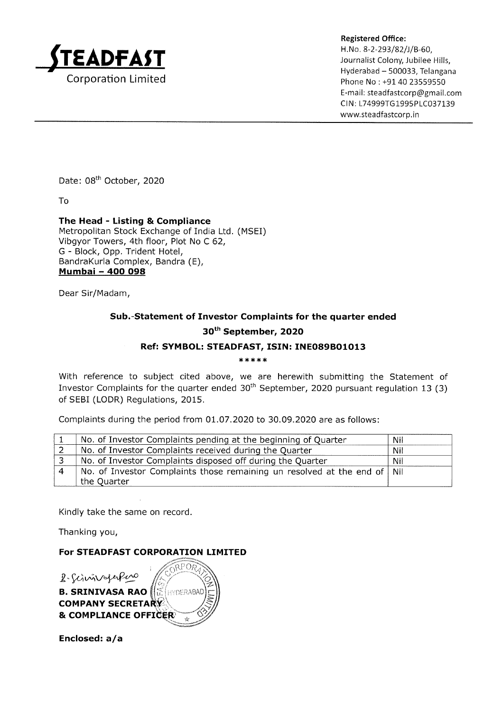

Registered Office:<br>H.No. 8-2-293/82/J/B-60, H.No. 8-2-293/82/J/B-60, Journalist Colony, Jubilee Hills, Hyderabad - 500033, Telangana Phone No: +91 40 23559550 E-mail: steadfastcorp@gmail.com CIN: L74999TG1995PLC037139 www.steadfastcorp. in

Date: 08<sup>th</sup> October, 2020

To

The Head - Listing & Compliance Metropolitan Stock Exchange of India Ltd. (MSEI) Vibgyor Towers, 4th floor, Plot No C 62, G - Block, Opp. Trident Hotel, BandraKurla Complex, Bandra (E), Mumbai - 4OO O98

Dear Sir/Madam,

## Sub.-Statement of Investor Complaints for the quarter ended 3oth September, 2O2O

## Ref: SYMBOL: STEADFAST, ISIN: INEO89BO1013

\*\*\*\*

With reference to subject cited above, we are herewith submitting the Statement of Investor Complaints for the quarter ended  $30<sup>th</sup>$  September, 2020 pursuant regulation 13 (3) of SEBI (LODR) Regulations, 2015.

Complaints during the period from 01.07.2020 to 30.09.2020 are as follows

| No. of Investor Complaints pending at the beginning of Quarter           | Nil |
|--------------------------------------------------------------------------|-----|
| No. of Investor Complaints received during the Quarter                   | Nil |
| No. of Investor Complaints disposed off during the Quarter               | Nil |
| No. of Investor Complaints those remaining un resolved at the end of Nil |     |
| the Quarter                                                              |     |

Kindly take the same on record.

Thanking you,

## For STEADFAST CORPORATION LIMITED

**COMPANY SECRETARY & COMPLIANCE OFFICER**  $R$ · Schnivoperforc **B. SRINIVASA RAO** (**E** HYDERABAD

Enclosed: a/a